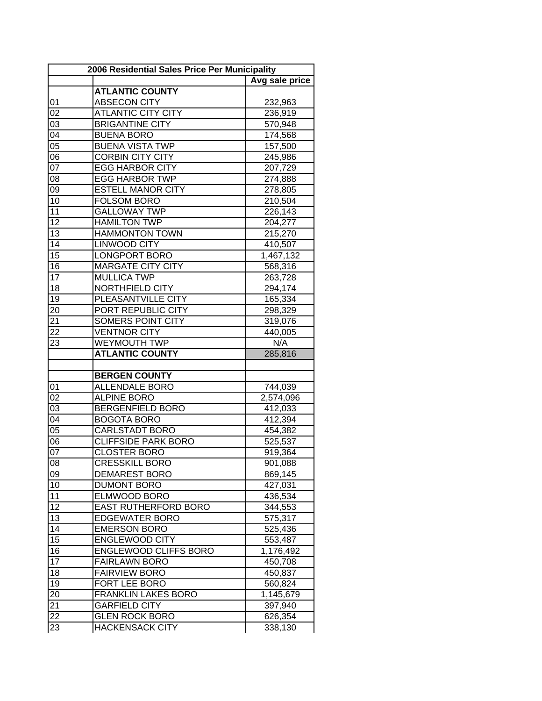|                 | 2006 Residential Sales Price Per Municipality |                |
|-----------------|-----------------------------------------------|----------------|
|                 |                                               | Avg sale price |
|                 | <b>ATLANTIC COUNTY</b>                        |                |
| 01              | <b>ABSECON CITY</b>                           | 232,963        |
| 02              | <b>ATLANTIC CITY CITY</b>                     | 236,919        |
| 03              | <b>BRIGANTINE CITY</b>                        | 570,948        |
| 04              | <b>BUENA BORO</b>                             | 174,568        |
| 05              | <b>BUENA VISTA TWP</b>                        | 157,500        |
| 06              | <b>CORBIN CITY CITY</b>                       | 245,986        |
| 07              | <b>EGG HARBOR CITY</b>                        | 207,729        |
| 08              | <b>EGG HARBOR TWP</b>                         | 274,888        |
| 09              | <b>ESTELL MANOR CITY</b>                      | 278,805        |
| 10              | <b>FOLSOM BORO</b>                            | 210,504        |
| 11              | <b>GALLOWAY TWP</b>                           | 226,143        |
| 12              | <b>HAMILTON TWP</b>                           | 204,277        |
| 13              | <b>HAMMONTON TOWN</b>                         | 215,270        |
| 14              | <b>LINWOOD CITY</b>                           | 410,507        |
| 15              | <b>LONGPORT BORO</b>                          | 1,467,132      |
| 16              | <b>MARGATE CITY CITY</b>                      | 568,316        |
| 17              | <b>MULLICA TWP</b>                            | 263,728        |
| 18              | NORTHFIELD CITY                               | 294,174        |
| 19              | PLEASANTVILLE CITY                            | 165,334        |
| 20              | PORT REPUBLIC CITY                            | 298,329        |
| 21              | SOMERS POINT CITY                             | 319,076        |
| 22              | <b>VENTNOR CITY</b>                           |                |
|                 | <b>WEYMOUTH TWP</b>                           | 440,005<br>N/A |
| 23              | <b>ATLANTIC COUNTY</b>                        | 285,816        |
|                 |                                               |                |
|                 | <b>BERGEN COUNTY</b>                          |                |
| 01              | <b>ALLENDALE BORO</b>                         | 744,039        |
| 02              | <b>ALPINE BORO</b>                            | 2,574,096      |
| $0\overline{3}$ | <b>BERGENFIELD BORO</b>                       | 412,033        |
| 04              | <b>BOGOTA BORO</b>                            | 412,394        |
| 05              | <b>CARLSTADT BORO</b>                         | 454,382        |
| 06              | <b>CLIFFSIDE PARK BORO</b>                    |                |
| 07              | <b>CLOSTER BORO</b>                           | 525,537        |
|                 |                                               | 919,364        |
| 08              | <b>CRESSKILL BORO</b>                         | 901,088        |
| 09              | <b>DEMAREST BORO</b>                          | 869,145        |
| 10              | <b>DUMONT BORO</b>                            | 427,031        |
| 11              | <b>ELMWOOD BORO</b>                           | 436,534        |
| 12              | <b>EAST RUTHERFORD BORO</b>                   | 344,553        |
| 13              | <b>EDGEWATER BORO</b>                         | 575,317        |
| 14              | <b>EMERSON BORO</b>                           | 525,436        |
| 15              | <b>ENGLEWOOD CITY</b>                         | 553,487        |
| 16              | <b>ENGLEWOOD CLIFFS BORO</b>                  | 1,176,492      |
| 17              | <b>FAIRLAWN BORO</b>                          | 450,708        |
| 18              | <b>FAIRVIEW BORO</b>                          | 450,837        |
| 19              | FORT LEE BORO                                 | 560,824        |
| 20              | <b>FRANKLIN LAKES BORO</b>                    | 1,145,679      |
| 21              | <b>GARFIELD CITY</b>                          | 397,940        |
| 22              | <b>GLEN ROCK BORO</b>                         | 626,354        |
| 23              | <b>HACKENSACK CITY</b>                        | 338,130        |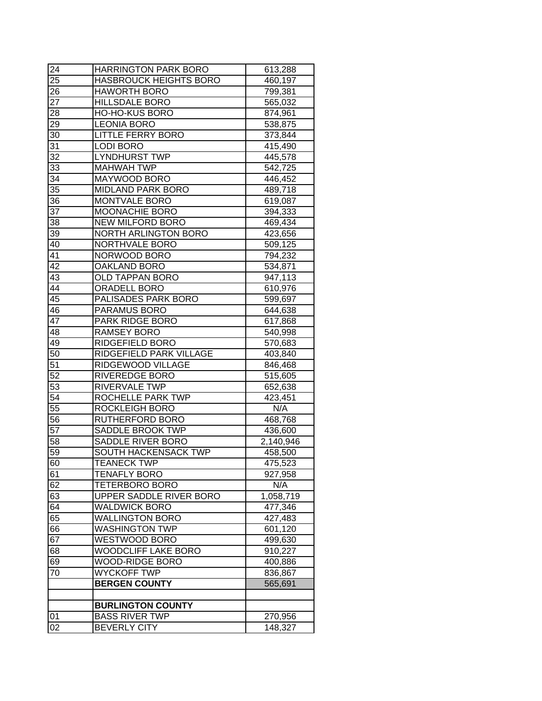| 24              | <b>HARRINGTON PARK BORO</b>   | 613,288   |
|-----------------|-------------------------------|-----------|
| 25              | <b>HASBROUCK HEIGHTS BORO</b> | 460,197   |
| 26              | <b>HAWORTH BORO</b>           | 799,381   |
| 27              | <b>HILLSDALE BORO</b>         | 565,032   |
| 28              | <b>HO-HO-KUS BORO</b>         | 874,961   |
| 29              | <b>LEONIA BORO</b>            | 538,875   |
| 30              | <b>LITTLE FERRY BORO</b>      | 373,844   |
| 31              | <b>LODI BORO</b>              | 415,490   |
| 32              | <b>LYNDHURST TWP</b>          | 445,578   |
| 33              | <b>MAHWAH TWP</b>             | 542,725   |
| 34              | MAYWOOD BORO                  | 446,452   |
| 35              | <b>MIDLAND PARK BORO</b>      | 489,718   |
| 36              | MONTVALE BORO                 | 619,087   |
| 37              | MOONACHIE BORO                | 394,333   |
| 38              | <b>NEW MILFORD BORO</b>       | 469,434   |
| 39              | <b>NORTH ARLINGTON BORO</b>   | 423,656   |
| 40              | NORTHVALE BORO                | 509,125   |
| 41              | NORWOOD BORO                  | 794,232   |
| 42              | <b>OAKLAND BORO</b>           | 534,871   |
| 43              | <b>OLD TAPPAN BORO</b>        | 947,113   |
| 44              | ORADELL BORO                  | 610,976   |
| 45              | PALISADES PARK BORO           | 599,697   |
| 46              | PARAMUS BORO                  | 644,638   |
| 47              | PARK RIDGE BORO               | 617,868   |
| 48              | <b>RAMSEY BORO</b>            | 540,998   |
| 49              | RIDGEFIELD BORO               | 570,683   |
| 50              | RIDGEFIELD PARK VILLAGE       | 403,840   |
| 51              | RIDGEWOOD VILLAGE             | 846,468   |
| $\overline{52}$ | <b>RIVEREDGE BORO</b>         | 515,605   |
| 53              | RIVERVALE TWP                 | 652,638   |
| 54              | <b>ROCHELLE PARK TWP</b>      | 423,451   |
| $\overline{55}$ | <b>ROCKLEIGH BORO</b>         | N/A       |
| 56              | <b>RUTHERFORD BORO</b>        | 468,768   |
| 57              | SADDLE BROOK TWP              | 436,600   |
| 58              | SADDLE RIVER BORO             | 2,140,946 |
| 59              | <b>SOUTH HACKENSACK TWP</b>   | 458,500   |
| 60              | <b>TEANECK TWP</b>            | 475,523   |
| 61              | TENAFLY BORO                  | 927,958   |
| 62              | TETERBORO BORO                | N/A       |
| 63              | UPPER SADDLE RIVER BORO       | 1,058,719 |
| 64              | <b>WALDWICK BORO</b>          | 477,346   |
| 65              | <b>WALLINGTON BORO</b>        | 427,483   |
| 66              | <b>WASHINGTON TWP</b>         | 601,120   |
| 67              | WESTWOOD BORO                 | 499,630   |
| 68              | <b>WOODCLIFF LAKE BORO</b>    | 910,227   |
| 69              | <b>WOOD-RIDGE BORO</b>        | 400,886   |
| 70              | <b>WYCKOFF TWP</b>            | 836,867   |
|                 | <b>BERGEN COUNTY</b>          | 565,691   |
|                 |                               |           |
|                 | <b>BURLINGTON COUNTY</b>      |           |
| 01              | <b>BASS RIVER TWP</b>         | 270,956   |
| 02              | <b>BEVERLY CITY</b>           | 148,327   |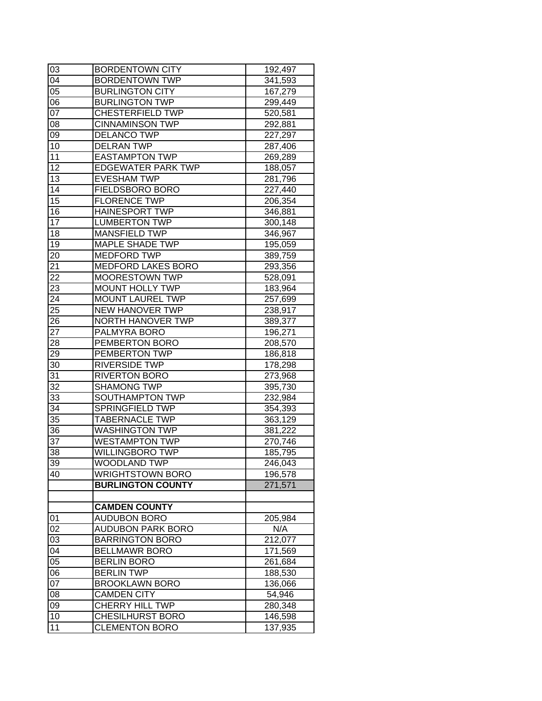| 03              | <b>BORDENTOWN CITY</b>    | 192,497 |
|-----------------|---------------------------|---------|
| 04              | <b>BORDENTOWN TWP</b>     | 341,593 |
| 05              | <b>BURLINGTON CITY</b>    | 167,279 |
| 06              | <b>BURLINGTON TWP</b>     | 299,449 |
| 07              | <b>CHESTERFIELD TWP</b>   | 520,581 |
| 08              | <b>CINNAMINSON TWP</b>    | 292,881 |
| 09              | <b>DELANCO TWP</b>        | 227,297 |
| 10              | <b>DELRAN TWP</b>         | 287,406 |
| 11              | <b>EASTAMPTON TWP</b>     | 269,289 |
| 12              | <b>EDGEWATER PARK TWP</b> | 188,057 |
| 13              | <b>EVESHAM TWP</b>        | 281,796 |
| 14              | FIELDSBORO BORO           | 227,440 |
| 15              | <b>FLORENCE TWP</b>       | 206,354 |
| 16              | <b>HAINESPORT TWP</b>     | 346,881 |
| 17              | <b>LUMBERTON TWP</b>      | 300,148 |
| 18              | <b>MANSFIELD TWP</b>      | 346,967 |
| 19              | <b>MAPLE SHADE TWP</b>    | 195,059 |
| 20              | <b>MEDFORD TWP</b>        | 389,759 |
| 21              | MEDFORD LAKES BORO        | 293,356 |
| 22              | <b>MOORESTOWN TWP</b>     | 528,091 |
| 23              | <b>MOUNT HOLLY TWP</b>    | 183,964 |
| 24              | <b>MOUNT LAUREL TWP</b>   | 257,699 |
| 25              | <b>NEW HANOVER TWP</b>    | 238,917 |
| 26              | NORTH HANOVER TWP         | 389,377 |
| 27              | PALMYRA BORO              | 196,271 |
| 28              | PEMBERTON BORO            | 208,570 |
| 29              | PEMBERTON TWP             | 186,818 |
| 30              | <b>RIVERSIDE TWP</b>      | 178,298 |
| 31              | <b>RIVERTON BORO</b>      | 273,968 |
| $\overline{32}$ | <b>SHAMONG TWP</b>        | 395,730 |
| 33              | SOUTHAMPTON TWP           | 232,984 |
| 34              | <b>SPRINGFIELD TWP</b>    | 354,393 |
| 35              | <b>TABERNACLE TWP</b>     | 363,129 |
| 36              | <b>WASHINGTON TWP</b>     | 381,222 |
| 37              | <b>WESTAMPTON TWP</b>     | 270,746 |
| 38              | <b>WILLINGBORO TWP</b>    | 185,795 |
| 39              | WOODLAND TWP              | 246,043 |
| 40              | <b>WRIGHTSTOWN BORO</b>   | 196,578 |
|                 | <b>BURLINGTON COUNTY</b>  | 271,571 |
|                 |                           |         |
|                 | <b>CAMDEN COUNTY</b>      |         |
| 01              | <b>AUDUBON BORO</b>       | 205,984 |
| 02              | <b>AUDUBON PARK BORO</b>  | N/A     |
| 03              | <b>BARRINGTON BORO</b>    | 212,077 |
| 04              | <b>BELLMAWR BORO</b>      | 171,569 |
| 05              | <b>BERLIN BORO</b>        | 261,684 |
| 06              | <b>BERLIN TWP</b>         | 188,530 |
| 07              | <b>BROOKLAWN BORO</b>     | 136,066 |
| 08              | <b>CAMDEN CITY</b>        | 54,946  |
| 09              | <b>CHERRY HILL TWP</b>    | 280,348 |
| 10              | <b>CHESILHURST BORO</b>   | 146,598 |
| 11              | <b>CLEMENTON BORO</b>     | 137,935 |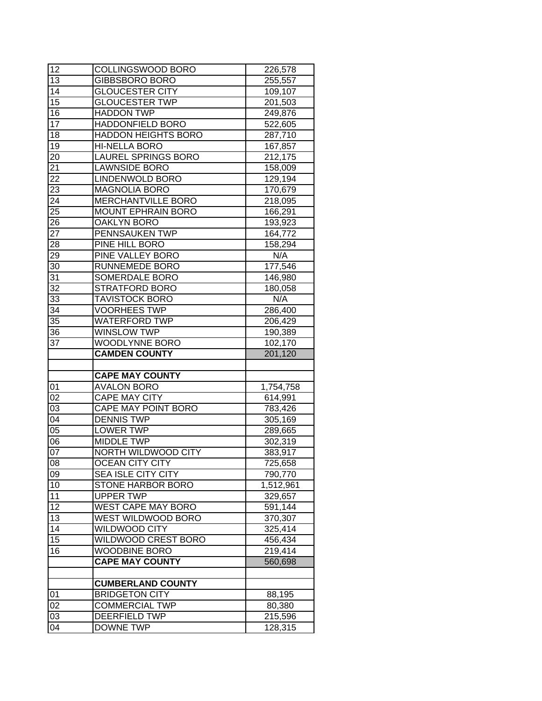| 12              | COLLINGSWOOD BORO          | 226,578   |
|-----------------|----------------------------|-----------|
| 13              | <b>GIBBSBORO BORO</b>      | 255,557   |
| 14              | <b>GLOUCESTER CITY</b>     | 109,107   |
| $\overline{15}$ | <b>GLOUCESTER TWP</b>      | 201,503   |
| $\overline{16}$ | <b>HADDON TWP</b>          | 249,876   |
| 17              | <b>HADDONFIELD BORO</b>    | 522,605   |
| 18              | <b>HADDON HEIGHTS BORO</b> | 287,710   |
| 19              | <b>HI-NELLA BORO</b>       | 167,857   |
| 20              | <b>LAUREL SPRINGS BORO</b> | 212,175   |
| 21              | <b>LAWNSIDE BORO</b>       | 158,009   |
| 22              | <b>LINDENWOLD BORO</b>     | 129,194   |
| 23              | <b>MAGNOLIA BORO</b>       | 170,679   |
| $2\overline{4}$ | MERCHANTVILLE BORO         | 218,095   |
| 25              | <b>MOUNT EPHRAIN BORO</b>  | 166,291   |
| 26              | OAKLYN BORO                | 193,923   |
| 27              | PENNSAUKEN TWP             | 164,772   |
| 28              | PINE HILL BORO             | 158,294   |
| 29              | PINE VALLEY BORO           | N/A       |
| 30              | <b>RUNNEMEDE BORO</b>      | 177,546   |
| 31              | SOMERDALE BORO             | 146,980   |
| 32              | <b>STRATFORD BORO</b>      | 180,058   |
| 33              | <b>TAVISTOCK BORO</b>      | N/A       |
| 34              | <b>VOORHEES TWP</b>        | 286,400   |
| 35              | <b>WATERFORD TWP</b>       | 206,429   |
| 36              | <b>WINSLOW TWP</b>         | 190,389   |
| 37              | <b>WOODLYNNE BORO</b>      | 102,170   |
|                 |                            |           |
|                 |                            |           |
|                 | <b>CAMDEN COUNTY</b>       | 201,120   |
|                 | <b>CAPE MAY COUNTY</b>     |           |
| 01              | <b>AVALON BORO</b>         | 1,754,758 |
| $0\overline{2}$ | <b>CAPE MAY CITY</b>       | 614,991   |
| 03              | <b>CAPE MAY POINT BORO</b> | 783,426   |
| 04              | <b>DENNIS TWP</b>          | 305,169   |
| $0\overline{5}$ | <b>LOWER TWP</b>           | 289,665   |
| 06              | <b>MIDDLE TWP</b>          | 302,319   |
| 07              | NORTH WILDWOOD CITY        | 383,917   |
| 08              | <b>OCEAN CITY CITY</b>     | 725,658   |
| 09              | <b>SEA ISLE CITY CITY</b>  | 790,770   |
| 10              | <b>STONE HARBOR BORO</b>   | 1,512,961 |
| 11              | <b>UPPER TWP</b>           | 329,657   |
| 12              | <b>WEST CAPE MAY BORO</b>  | 591,144   |
| 13              | WEST WILDWOOD BORO         | 370,307   |
| 14              | <b>WILDWOOD CITY</b>       | 325,414   |
| 15              | <b>WILDWOOD CREST BORO</b> | 456,434   |
| 16              | <b>WOODBINE BORO</b>       | 219,414   |
|                 | <b>CAPE MAY COUNTY</b>     | 560,698   |
|                 |                            |           |
|                 | <b>CUMBERLAND COUNTY</b>   |           |
| 01              | <b>BRIDGETON CITY</b>      | 88,195    |
| 02              | <b>COMMERCIAL TWP</b>      | 80,380    |
| 03              | <b>DEERFIELD TWP</b>       | 215,596   |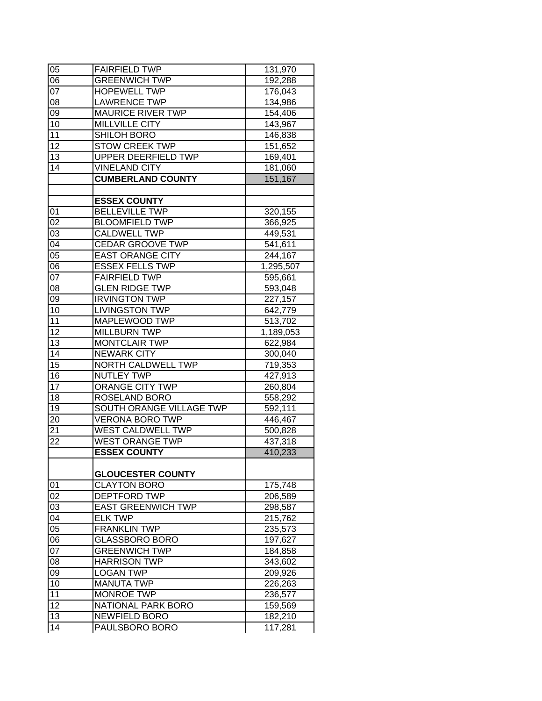| 05 | <b>FAIRFIELD TWP</b>      | 131,970   |
|----|---------------------------|-----------|
| 06 | <b>GREENWICH TWP</b>      | 192,288   |
| 07 | <b>HOPEWELL TWP</b>       | 176,043   |
| 08 | LAWRENCE TWP              | 134,986   |
| 09 | <b>MAURICE RIVER TWP</b>  | 154,406   |
| 10 | <b>MILLVILLE CITY</b>     | 143,967   |
| 11 | SHILOH BORO               | 146,838   |
| 12 | <b>STOW CREEK TWP</b>     | 151,652   |
| 13 | UPPER DEERFIELD TWP       | 169,401   |
| 14 | <b>VINELAND CITY</b>      | 181,060   |
|    | <b>CUMBERLAND COUNTY</b>  | 151,167   |
|    |                           |           |
|    | <b>ESSEX COUNTY</b>       |           |
| 01 | <b>BELLEVILLE TWP</b>     | 320,155   |
| 02 | <b>BLOOMFIELD TWP</b>     | 366,925   |
| 03 | <b>CALDWELL TWP</b>       | 449,531   |
| 04 | <b>CEDAR GROOVE TWP</b>   | 541,611   |
| 05 | <b>EAST ORANGE CITY</b>   | 244,167   |
| 06 | <b>ESSEX FELLS TWP</b>    | 1,295,507 |
| 07 | <b>FAIRFIELD TWP</b>      | 595,661   |
| 08 | <b>GLEN RIDGE TWP</b>     | 593,048   |
| 09 | <b>IRVINGTON TWP</b>      | 227,157   |
| 10 | <b>LIVINGSTON TWP</b>     | 642,779   |
| 11 | MAPLEWOOD TWP             | 513,702   |
| 12 | <b>MILLBURN TWP</b>       | 1,189,053 |
| 13 | <b>MONTCLAIR TWP</b>      | 622,984   |
| 14 | <b>NEWARK CITY</b>        | 300,040   |
| 15 | NORTH CALDWELL TWP        | 719,353   |
| 16 | <b>NUTLEY TWP</b>         | 427,913   |
| 17 | <b>ORANGE CITY TWP</b>    | 260,804   |
| 18 | ROSELAND BORO             | 558,292   |
| 19 | SOUTH ORANGE VILLAGE TWP  | 592,111   |
| 20 | <b>VERONA BORO TWP</b>    | 446,467   |
| 21 | WEST CALDWELL TWP         | 500,828   |
| 22 | <b>WEST ORANGE TWP</b>    | 437,318   |
|    | <b>ESSEX COUNTY</b>       | 410,233   |
|    |                           |           |
|    | <b>GLOUCESTER COUNTY</b>  |           |
| 01 | <b>CLAYTON BORO</b>       | 175,748   |
| 02 | <b>DEPTFORD TWP</b>       | 206,589   |
| 03 | <b>EAST GREENWICH TWP</b> | 298,587   |
| 04 | <b>ELK TWP</b>            | 215,762   |
| 05 | <b>FRANKLIN TWP</b>       | 235,573   |
| 06 | <b>GLASSBORO BORO</b>     | 197,627   |
| 07 | <b>GREENWICH TWP</b>      | 184,858   |
| 08 | <b>HARRISON TWP</b>       | 343,602   |
| 09 | <b>LOGAN TWP</b>          | 209,926   |
| 10 | <b>MANUTA TWP</b>         | 226,263   |
| 11 | <b>MONROE TWP</b>         | 236,577   |
| 12 | <b>NATIONAL PARK BORO</b> | 159,569   |
| 13 | <b>NEWFIELD BORO</b>      | 182,210   |
| 14 | PAULSBORO BORO            | 117,281   |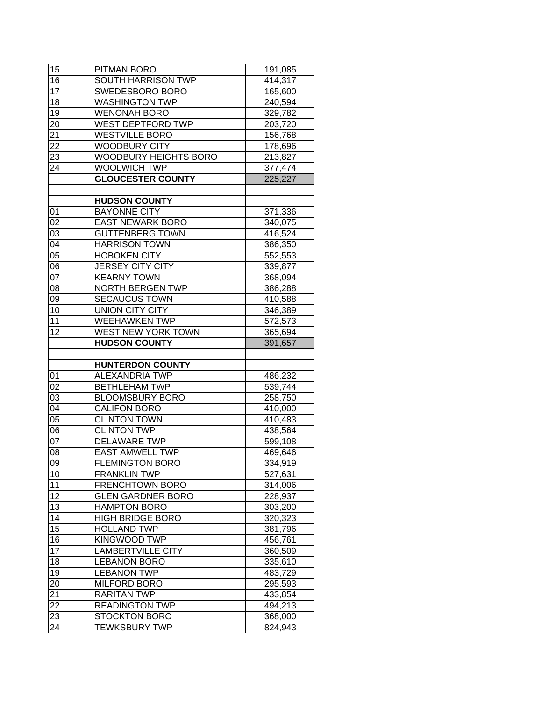| 15              | PITMAN BORO                                  | 191,085            |
|-----------------|----------------------------------------------|--------------------|
| 16              | <b>SOUTH HARRISON TWP</b>                    | 414,317            |
| 17              | SWEDESBORO BORO                              | 165,600            |
| 18              | <b>WASHINGTON TWP</b>                        | 240,594            |
| 19              | <b>WENONAH BORO</b>                          | 329,782            |
| 20              | WEST DEPTFORD TWP                            | 203,720            |
| 21              | <b>WESTVILLE BORO</b>                        | 156,768            |
| 22              | <b>WOODBURY CITY</b>                         | 178,696            |
| 23              | <b>WOODBURY HEIGHTS BORO</b>                 | 213,827            |
| 24              | <b>WOOLWICH TWP</b>                          | 377,474            |
|                 | <b>GLOUCESTER COUNTY</b>                     | 225,227            |
|                 |                                              |                    |
|                 | <b>HUDSON COUNTY</b>                         |                    |
| 01              | <b>BAYONNE CITY</b>                          | 371,336            |
| 02              | <b>EAST NEWARK BORO</b>                      | 340,075            |
| 03              | <b>GUTTENBERG TOWN</b>                       | 416,524            |
| 04              | <b>HARRISON TOWN</b>                         | 386,350            |
| 05              | <b>HOBOKEN CITY</b>                          | 552,553            |
| 06              | <b>JERSEY CITY CITY</b>                      | 339,877            |
| 07              | <b>KEARNY TOWN</b>                           | 368,094            |
| 08              | NORTH BERGEN TWP                             | 386,288            |
| 09              | <b>SECAUCUS TOWN</b>                         | 410,588            |
| 10              | <b>UNION CITY CITY</b>                       | 346,389            |
| 11              | <b>WEEHAWKEN TWP</b>                         | 572,573            |
| 12              | WEST NEW YORK TOWN                           | 365,694            |
|                 | <b>HUDSON COUNTY</b>                         | 391,657            |
|                 |                                              |                    |
|                 |                                              |                    |
|                 | <b>HUNTERDON COUNTY</b>                      |                    |
| 01              | <b>ALEXANDRIA TWP</b>                        | 486,232            |
| $\overline{02}$ | <b>BETHLEHAM TWP</b>                         | 539,744            |
| 03              | <b>BLOOMSBURY BORO</b>                       | 258,750            |
| 04              | <b>CALIFON BORO</b>                          | 410,000            |
| 05              | <b>CLINTON TOWN</b>                          | 410,483            |
| 06              | <b>CLINTON TWP</b>                           | 438,564            |
| 07              | <b>DELAWARE TWP</b>                          | 599,108            |
| 08              | <b>EAST AMWELL TWP</b>                       | 469,646            |
| 09              | <b>FLEMINGTON BORO</b>                       | 334,919            |
| 10              | <b>FRANKLIN TWP</b>                          | 527,631            |
| 11              | <b>FRENCHTOWN BORO</b>                       | 314,006            |
| 12              | <b>GLEN GARDNER BORO</b>                     | 228,937            |
| 13              | <b>HAMPTON BORO</b>                          | 303,200            |
| 14              | <b>HIGH BRIDGE BORO</b>                      | 320,323            |
| 15              | <b>HOLLAND TWP</b>                           | 381,796            |
| 16              | <b>KINGWOOD TWP</b>                          | 456,761            |
| 17              | <b>LAMBERTVILLE CITY</b>                     | 360,509            |
| 18              | <b>LEBANON BORO</b>                          | 335,610            |
| 19              | <b>LEBANON TWP</b>                           | 483,729            |
| 20              | <b>MILFORD BORO</b>                          | 295,593            |
| 21              | <b>RARITAN TWP</b>                           | 433,854            |
| 22              | <b>READINGTON TWP</b>                        | 494,213            |
| 23<br>24        | <b>STOCKTON BORO</b><br><b>TEWKSBURY TWP</b> | 368,000<br>824,943 |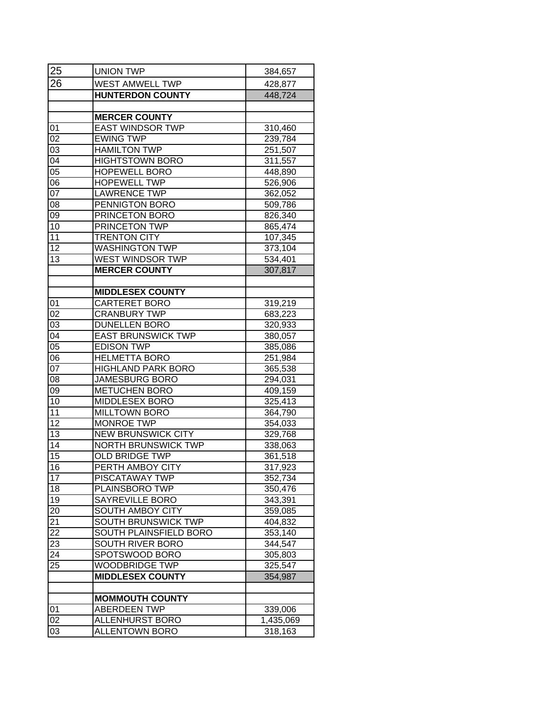| 25              | <b>UNION TWP</b>           | 384,657   |
|-----------------|----------------------------|-----------|
| 26              | <b>WEST AMWELL TWP</b>     | 428,877   |
|                 | <b>HUNTERDON COUNTY</b>    | 448,724   |
|                 |                            |           |
|                 | <b>MERCER COUNTY</b>       |           |
| 01              | <b>EAST WINDSOR TWP</b>    | 310,460   |
| 02              | <b>EWING TWP</b>           | 239,784   |
| 03              | <b>HAMILTON TWP</b>        | 251,507   |
| 04              | <b>HIGHTSTOWN BORO</b>     | 311,557   |
| 05              | <b>HOPEWELL BORO</b>       | 448,890   |
| 06              | <b>HOPEWELL TWP</b>        | 526,906   |
| 0 <sub>7</sub>  | <b>LAWRENCE TWP</b>        | 362,052   |
| 08              | PENNIGTON BORO             | 509,786   |
| 09              | PRINCETON BORO             | 826,340   |
| 10              | PRINCETON TWP              | 865,474   |
| 11              | <b>TRENTON CITY</b>        | 107,345   |
| 12              | <b>WASHINGTON TWP</b>      | 373,104   |
| 13              | <b>WEST WINDSOR TWP</b>    | 534,401   |
|                 | <b>MERCER COUNTY</b>       | 307,817   |
|                 |                            |           |
|                 | <b>MIDDLESEX COUNTY</b>    |           |
| 01              | CARTERET BORO              | 319,219   |
| 02              | <b>CRANBURY TWP</b>        | 683,223   |
| 0 <sub>3</sub>  | <b>DUNELLEN BORO</b>       | 320,933   |
| $0\overline{4}$ | <b>EAST BRUNSWICK TWP</b>  | 380,057   |
| 05              | <b>EDISON TWP</b>          | 385,086   |
| 06              | <b>HELMETTA BORO</b>       | 251,984   |
| 07              | <b>HIGHLAND PARK BORO</b>  | 365,538   |
| 08              | <b>JAMESBURG BORO</b>      | 294,031   |
| 09              | <b>METUCHEN BORO</b>       | 409,159   |
| 10              | MIDDLESEX BORO             | 325,413   |
| 11              | <b>MILLTOWN BORO</b>       | 364,790   |
| 12              | MONROE TWP                 | 354,033   |
| 13              | <b>NEW BRUNSWICK CITY</b>  | 329,768   |
| 14              | <b>NORTH BRUNSWICK TWP</b> | 338,063   |
| $\overline{15}$ | <b>OLD BRIDGE TWP</b>      | 361,518   |
| 16              | PERTH AMBOY CITY           | 317,923   |
| 17              | <b>PISCATAWAY TWP</b>      | 352,734   |
| 18              | PLAINSBORO TWP             | 350,476   |
| 19              | SAYREVILLE BORO            | 343,391   |
| 20              | SOUTH AMBOY CITY           | 359,085   |
| 21              | <b>SOUTH BRUNSWICK TWP</b> | 404,832   |
| 22              | SOUTH PLAINSFIELD BORO     | 353,140   |
| 23              | SOUTH RIVER BORO           | 344,547   |
| 24              | SPOTSWOOD BORO             | 305,803   |
| 25              | WOODBRIDGE TWP             | 325,547   |
|                 | <b>MIDDLESEX COUNTY</b>    | 354,987   |
|                 |                            |           |
|                 | <b>MOMMOUTH COUNTY</b>     |           |
| 01              | <b>ABERDEEN TWP</b>        | 339,006   |
| 02              | <b>ALLENHURST BORO</b>     | 1,435,069 |
| 03              | <b>ALLENTOWN BORO</b>      | 318,163   |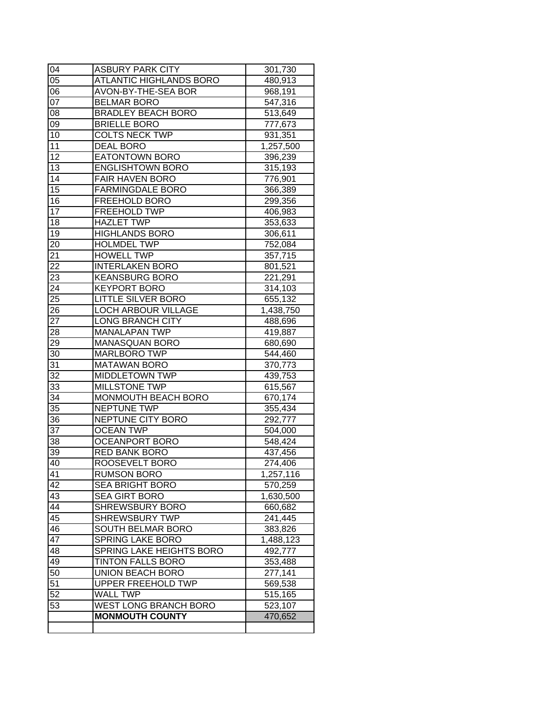|                 | <b>MONMOUTH COUNTY</b>         | 470,652   |
|-----------------|--------------------------------|-----------|
| 53              | <b>WEST LONG BRANCH BORO</b>   | 523,107   |
| 52              | <b>WALL TWP</b>                | 515,165   |
| 51              | <b>UPPER FREEHOLD TWP</b>      | 569,538   |
| 50              | <b>UNION BEACH BORO</b>        | 277,141   |
| 49              | <b>TINTON FALLS BORO</b>       | 353,488   |
| 48              | SPRING LAKE HEIGHTS BORO       | 492,777   |
| 47              | <b>SPRING LAKE BORO</b>        | 1,488,123 |
| 46              | <b>SOUTH BELMAR BORO</b>       | 383,826   |
| 45              | <b>SHREWSBURY TWP</b>          | 241,445   |
| 44              | <b>SHREWSBURY BORO</b>         | 660,682   |
| 43              | SEA GIRT BORO                  | 1,630,500 |
| 42              | <b>SEA BRIGHT BORO</b>         | 570,259   |
| 41              | <b>RUMSON BORO</b>             | 1,257,116 |
| 40              | ROOSEVELT BORO                 | 274,406   |
| 39              | <b>RED BANK BORO</b>           | 437,456   |
| 38              | <b>OCEANPORT BORO</b>          | 548,424   |
| 37              | <b>OCEAN TWP</b>               | 504,000   |
| 36              | NEPTUNE CITY BORO              | 292,777   |
| 35              | <b>NEPTUNE TWP</b>             | 355,434   |
| 34              | <b>MONMOUTH BEACH BORO</b>     | 670,174   |
| 33              | <b>MILLSTONE TWP</b>           | 615,567   |
| $\overline{32}$ | <b>MIDDLETOWN TWP</b>          | 439,753   |
| 31              | <b>MATAWAN BORO</b>            | 370,773   |
| 30              | <b>MARLBORO TWP</b>            | 544,460   |
| 29              | <b>MANASQUAN BORO</b>          | 680,690   |
| 28              | <b>MANALAPAN TWP</b>           | 419,887   |
|                 |                                | 488,696   |
| 27              | <b>LONG BRANCH CITY</b>        | 1,438,750 |
| 26              | <b>LOCH ARBOUR VILLAGE</b>     | 655,132   |
| 25              | <b>LITTLE SILVER BORO</b>      |           |
| 24              | <b>KEYPORT BORO</b>            | 314,103   |
| 23              | <b>KEANSBURG BORO</b>          | 221,291   |
| 22              | <b>INTERLAKEN BORO</b>         | 801,521   |
| 21              | <b>HOWELL TWP</b>              | 357,715   |
| 20              | <b>HOLMDEL TWP</b>             | 752,084   |
| 19              | <b>HIGHLANDS BORO</b>          | 306,611   |
| 18              | <b>HAZLET TWP</b>              | 353,633   |
| 17              | <b>FREEHOLD TWP</b>            | 406,983   |
| 16              | FREEHOLD BORO                  | 299,356   |
| 15              | <b>FARMINGDALE BORO</b>        | 366,389   |
| 14              | <b>FAIR HAVEN BORO</b>         | 776,901   |
| 13              | <b>ENGLISHTOWN BORO</b>        | 315,193   |
| 12              | <b>EATONTOWN BORO</b>          | 396,239   |
| 11              | <b>DEAL BORO</b>               | 1,257,500 |
| 10              | <b>COLTS NECK TWP</b>          | 931,351   |
| 09              | <b>BRIELLE BORO</b>            | 777,673   |
| $0\overline{8}$ | <b>BRADLEY BEACH BORO</b>      | 513,649   |
| $\overline{07}$ | <b>BELMAR BORO</b>             | 547,316   |
| 06              | AVON-BY-THE-SEA BOR            | 968,191   |
| 05              | <b>ATLANTIC HIGHLANDS BORO</b> | 480,913   |
| 04              | <b>ASBURY PARK CITY</b>        | 301,730   |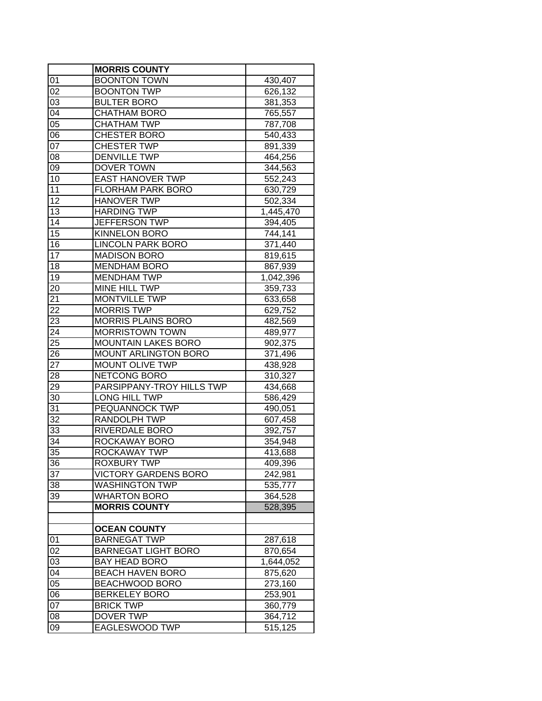|                 | <b>MORRIS COUNTY</b>        |           |
|-----------------|-----------------------------|-----------|
| 01              | <b>BOONTON TOWN</b>         | 430,407   |
| 02              | <b>BOONTON TWP</b>          | 626,132   |
| 03              | <b>BULTER BORO</b>          | 381,353   |
| $0\overline{4}$ | <b>CHATHAM BORO</b>         | 765,557   |
| $\overline{05}$ | <b>CHATHAM TWP</b>          | 787,708   |
| 06              | <b>CHESTER BORO</b>         | 540,433   |
| 07              | <b>CHESTER TWP</b>          | 891,339   |
| 08              | <b>DENVILLE TWP</b>         | 464,256   |
| 09              | <b>DOVER TOWN</b>           | 344,563   |
| 10              | <b>EAST HANOVER TWP</b>     | 552,243   |
| 11              | <b>FLORHAM PARK BORO</b>    | 630,729   |
| 12              | <b>HANOVER TWP</b>          | 502,334   |
| 13              | <b>HARDING TWP</b>          | 1,445,470 |
| 14              | <b>JEFFERSON TWP</b>        | 394,405   |
| 15              | <b>KINNELON BORO</b>        | 744,141   |
| 16              | <b>LINCOLN PARK BORO</b>    | 371,440   |
| 17              | <b>MADISON BORO</b>         | 819,615   |
| 18              | <b>MENDHAM BORO</b>         | 867,939   |
| 19              | <b>MENDHAM TWP</b>          | 1,042,396 |
| 20              | MINE HILL TWP               | 359,733   |
| 21              | <b>MONTVILLE TWP</b>        | 633,658   |
| 22              | <b>MORRIS TWP</b>           | 629,752   |
| 23              | <b>MORRIS PLAINS BORO</b>   | 482,569   |
| 24              | <b>MORRISTOWN TOWN</b>      | 489,977   |
| 25              | <b>MOUNTAIN LAKES BORO</b>  | 902,375   |
| 26              | <b>MOUNT ARLINGTON BORO</b> | 371,496   |
| 27              | <b>MOUNT OLIVE TWP</b>      | 438,928   |
| 28              | <b>NETCONG BORO</b>         | 310,327   |
| 29              | PARSIPPANY-TROY HILLS TWP   | 434,668   |
| 30              | LONG HILL TWP               | 586,429   |
| 31              | PEQUANNOCK TWP              | 490,051   |
| 32              | <b>RANDOLPH TWP</b>         | 607,458   |
| 33              | RIVERDALE BORO              | 392,757   |
| 34              | ROCKAWAY BORO               | 354,948   |
| 35              | ROCKAWAY TWP                | 413,688   |
| 36              | ROXBURY TWP                 | 409,396   |
| 37              | VICTORY GARDENS BORO        | 242,981   |
| 38              | WASHINGTON TWP              | 535,777   |
| 39              | <b>WHARTON BORO</b>         | 364,528   |
|                 | <b>MORRIS COUNTY</b>        | 528,395   |
|                 |                             |           |
|                 | <b>OCEAN COUNTY</b>         |           |
| 01              | <b>BARNEGAT TWP</b>         | 287,618   |
| 02              | <b>BARNEGAT LIGHT BORO</b>  | 870,654   |
| 03              | <b>BAY HEAD BORO</b>        | 1,644,052 |
| 04              | <b>BEACH HAVEN BORO</b>     | 875,620   |
| 05              | BEACHWOOD BORO              | 273,160   |
| 06              | <b>BERKELEY BORO</b>        | 253,901   |
| 07              | <b>BRICK TWP</b>            | 360,779   |
| 08              | DOVER TWP                   | 364,712   |
| 09              | EAGLESWOOD TWP              | 515,125   |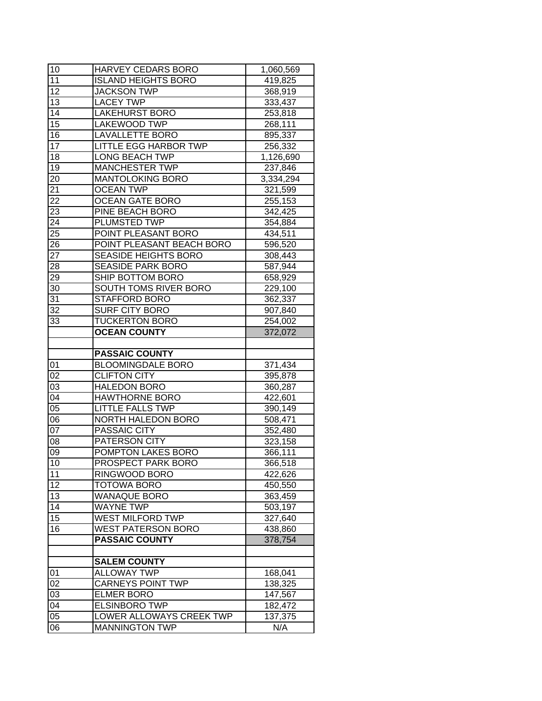| $\overline{1}0$ | HARVEY CEDARS BORO          | 1,060,569          |
|-----------------|-----------------------------|--------------------|
| 11              | <b>ISLAND HEIGHTS BORO</b>  | 419,825            |
| $1\overline{2}$ | <b>JACKSON TWP</b>          | 368,919            |
| 13              | <b>LACEY TWP</b>            | 333,437            |
| 14              | <b>LAKEHURST BORO</b>       | 253,818            |
| $\overline{15}$ | <b>LAKEWOOD TWP</b>         | 268,111            |
| 16              | <b>LAVALLETTE BORO</b>      | 895,337            |
| 17              | LITTLE EGG HARBOR TWP       | 256,332            |
| 18              | <b>LONG BEACH TWP</b>       | 1,126,690          |
| 19              | <b>MANCHESTER TWP</b>       | 237,846            |
| 20              | <b>MANTOLOKING BORO</b>     | 3,334,294          |
| 21              | <b>OCEAN TWP</b>            | 321,599            |
| $\overline{22}$ | <b>OCEAN GATE BORO</b>      | 255,153            |
| 23              | PINE BEACH BORO             | 342,425            |
| 24              | PLUMSTED TWP                | 354,884            |
| 25              | POINT PLEASANT BORO         | 434,511            |
| $2\overline{6}$ | POINT PLEASANT BEACH BORO   | 596,520            |
| 27              | <b>SEASIDE HEIGHTS BORO</b> | 308,443            |
| 28              | <b>SEASIDE PARK BORO</b>    | 587,944            |
| 29              | SHIP BOTTOM BORO            | 658,929            |
| 30              | SOUTH TOMS RIVER BORO       | 229,100            |
| 31              | <b>STAFFORD BORO</b>        | 362,337            |
| 32              | <b>SURF CITY BORO</b>       | 907,840            |
| 33              | <b>TUCKERTON BORO</b>       | 254,002            |
|                 | <b>OCEAN COUNTY</b>         | 372,072            |
|                 |                             |                    |
|                 |                             |                    |
|                 | <b>PASSAIC COUNTY</b>       |                    |
| 01              | <b>BLOOMINGDALE BORO</b>    |                    |
| $\overline{02}$ | <b>CLIFTON CITY</b>         | 371,434<br>395,878 |
| 03              | <b>HALEDON BORO</b>         | 360,287            |
| $0\overline{4}$ | <b>HAWTHORNE BORO</b>       | 422,601            |
| $\overline{05}$ | <b>LITTLE FALLS TWP</b>     | 390,149            |
| 06              | NORTH HALEDON BORO          | 508,471            |
| 07              | PASSAIC CITY                | 352,480            |
| 08              | PATERSON CITY               | 323,158            |
| 09              | POMPTON LAKES BORO          | 366,111            |
| 10              | PROSPECT PARK BORO          | 366,518            |
| 11              | RINGWOOD BORO               | 422,626            |
| 12              | TOTOWA BORO                 | 450,550            |
| 13              | <b>WANAQUE BORO</b>         | 363,459            |
| 14              | <b>WAYNE TWP</b>            | 503,197            |
| 15              | <b>WEST MILFORD TWP</b>     | 327,640            |
| 16              | <b>WEST PATERSON BORO</b>   | 438,860            |
|                 | <b>PASSAIC COUNTY</b>       | 378,754            |
|                 |                             |                    |
|                 | <b>SALEM COUNTY</b>         |                    |
| 01              | <b>ALLOWAY TWP</b>          | 168,041            |
| 02              | <b>CARNEYS POINT TWP</b>    | 138,325            |
| 03              | <b>ELMER BORO</b>           | 147,567            |
| 04              | <b>ELSINBORO TWP</b>        | 182,472            |
| 05              | LOWER ALLOWAYS CREEK TWP    | 137,375            |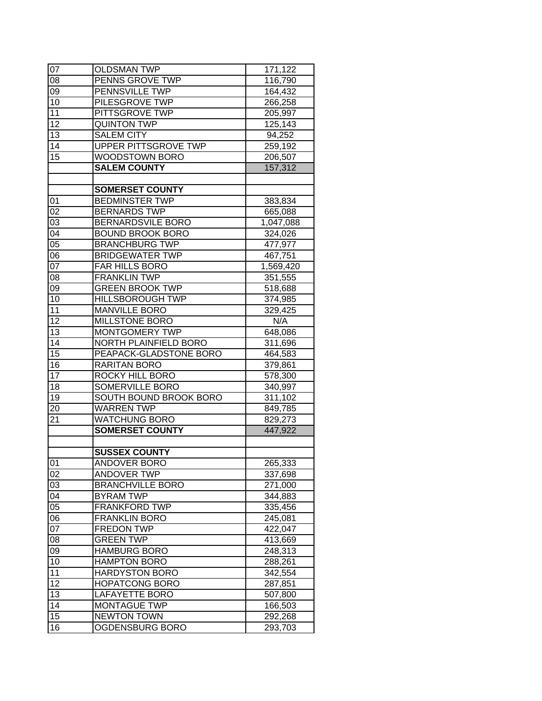| 07              | <b>OLDSMAN TWP</b>      | 171,122   |
|-----------------|-------------------------|-----------|
| 08              | PENNS GROVE TWP         | 116,790   |
| 09              | PENNSVILLE TWP          | 164,432   |
| 10              | PILESGROVE TWP          | 266,258   |
| 11              | PITTSGROVE TWP          | 205,997   |
| 12              | <b>QUINTON TWP</b>      | 125,143   |
| 13              | <b>SALEM CITY</b>       | 94,252    |
| 14              | UPPER PITTSGROVE TWP    | 259,192   |
| 15              | <b>WOODSTOWN BORO</b>   | 206,507   |
|                 | <b>SALEM COUNTY</b>     | 157,312   |
|                 |                         |           |
|                 | <b>SOMERSET COUNTY</b>  |           |
| 01              | <b>BEDMINSTER TWP</b>   | 383,834   |
| 02              | <b>BERNARDS TWP</b>     | 665,088   |
| 03              | BERNARDSVILE BORO       | 1,047,088 |
| 04              | <b>BOUND BROOK BORO</b> | 324,026   |
| $\overline{05}$ | <b>BRANCHBURG TWP</b>   | 477,977   |
| 06              | <b>BRIDGEWATER TWP</b>  | 467,751   |
| 07              | <b>FAR HILLS BORO</b>   | 1,569,420 |
| 08              | <b>FRANKLIN TWP</b>     | 351,555   |
| 09              | <b>GREEN BROOK TWP</b>  | 518,688   |
| 10              | <b>HILLSBOROUGH TWP</b> | 374,985   |
| 11              | <b>MANVILLE BORO</b>    | 329,425   |
| 12              | MILLSTONE BORO          | N/A       |
| 13              | MONTGOMERY TWP          | 648,086   |
| 14              | NORTH PLAINFIELD BORO   | 311,696   |
| 15              | PEAPACK-GLADSTONE BORO  | 464,583   |
| 16              | RARITAN BORO            | 379,861   |
| 17              | ROCKY HILL BORO         | 578,300   |
| 18              | <b>SOMERVILLE BORO</b>  | 340,997   |
| 19              | SOUTH BOUND BROOK BORO  | 311,102   |
| 20              | <b>WARREN TWP</b>       | 849,785   |
| 21              | <b>WATCHUNG BORO</b>    | 829,273   |
|                 | <b>SOMERSET COUNTY</b>  | 447,922   |
|                 |                         |           |
|                 | <b>SUSSEX COUNTY</b>    |           |
| 01              | ANDOVER BORO            | 265,333   |
| 02              | ANDOVER TWP             | 337,698   |
| 03              | <b>BRANCHVILLE BORO</b> | 271,000   |
| 04              | <b>BYRAM TWP</b>        | 344,883   |
| 05              | <b>FRANKFORD TWP</b>    | 335,456   |
| 06              | <b>FRANKLIN BORO</b>    | 245,081   |
| 07              | <b>FREDON TWP</b>       | 422,047   |
| 08              | <b>GREEN TWP</b>        | 413,669   |
| 09              | <b>HAMBURG BORO</b>     | 248,313   |
|                 |                         |           |
| 10              | <b>HAMPTON BORO</b>     | 288,261   |
| 11              | <b>HARDYSTON BORO</b>   | 342,554   |
| 12              | <b>HOPATCONG BORO</b>   | 287,851   |
| 13              | LAFAYETTE BORO          | 507,800   |
| 14              | <b>MONTAGUE TWP</b>     | 166,503   |
| 15              | <b>NEWTON TOWN</b>      | 292,268   |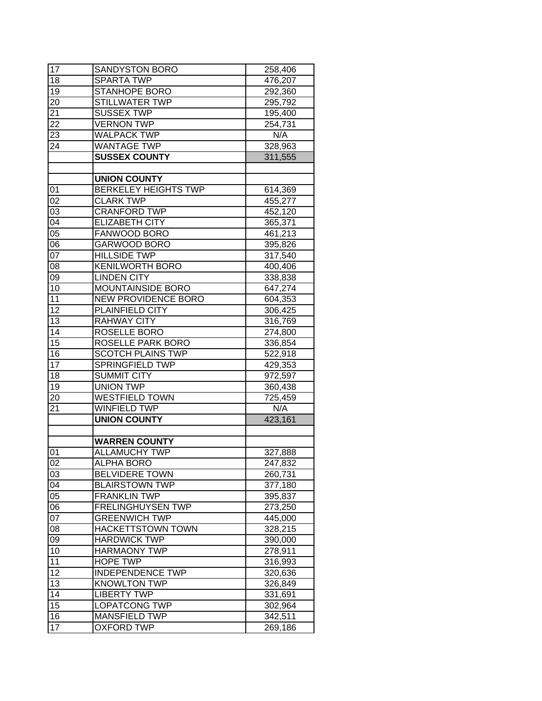| 17              | <b>SANDYSTON BORO</b>       | 258,406 |
|-----------------|-----------------------------|---------|
| 18              | <b>SPARTA TWP</b>           | 476,207 |
| 19              | <b>STANHOPE BORO</b>        | 292,360 |
| 20              | <b>STILLWATER TWP</b>       | 295,792 |
| 21              | <b>SUSSEX TWP</b>           | 195,400 |
| 22              | <b>VERNON TWP</b>           | 254,731 |
| $2\overline{3}$ | <b>WALPACK TWP</b>          | N/A     |
| 24              | <b>WANTAGE TWP</b>          | 328,963 |
|                 | <b>SUSSEX COUNTY</b>        | 311,555 |
|                 |                             |         |
|                 | <b>UNION COUNTY</b>         |         |
| 01              | <b>BERKELEY HEIGHTS TWP</b> | 614,369 |
| 02              | <b>CLARK TWP</b>            | 455,277 |
| 03              | <b>CRANFORD TWP</b>         | 452,120 |
| 04              | <b>ELIZABETH CITY</b>       | 365,371 |
| $\overline{05}$ | FANWOOD BORO                | 461,213 |
| 06              | <b>GARWOOD BORO</b>         | 395,826 |
| $\overline{07}$ | <b>HILLSIDE TWP</b>         | 317,540 |
| 08              | <b>KENILWORTH BORO</b>      | 400,406 |
| 09              | <b>LINDEN CITY</b>          | 338,838 |
| 10              | MOUNTAINSIDE BORO           | 647,274 |
| 11              | <b>NEW PROVIDENCE BORO</b>  | 604,353 |
| 12              | PLAINFIELD CITY             | 306,425 |
| 13              | <b>RAHWAY CITY</b>          | 316,769 |
| 14              | ROSELLE BORO                | 274,800 |
| 15              | ROSELLE PARK BORO           | 336,854 |
| 16              | <b>SCOTCH PLAINS TWP</b>    | 522,918 |
| 17              | <b>SPRINGFIELD TWP</b>      | 429,353 |
| 18              | <b>SUMMIT CITY</b>          | 972,597 |
| $\overline{19}$ | <b>UNION TWP</b>            | 360,438 |
| 20              | <b>WESTFIELD TOWN</b>       | 725,459 |
| 21              | <b>WINFIELD TWP</b>         | N/A     |
|                 | <b>UNION COUNTY</b>         | 423,161 |
|                 |                             |         |
|                 | <b>WARREN COUNTY</b>        |         |
| 01              | <b>ALLAMUCHY TWP</b>        | 327,888 |
| $\overline{02}$ | <b>ALPHA BORO</b>           | 247,832 |
| 03              | <b>BELVIDERE TOWN</b>       | 260,731 |
| 04              | <b>BLAIRSTOWN TWP</b>       | 377,180 |
| 05              | <b>FRANKLIN TWP</b>         | 395,837 |
| 06              | <b>FRELINGHUYSEN TWP</b>    | 273,250 |
| 07              | <b>GREENWICH TWP</b>        | 445,000 |
| 08              | <b>HACKETTSTOWN TOWN</b>    | 328,215 |
| 09              | <b>HARDWICK TWP</b>         | 390,000 |
| 10              | <b>HARMAONY TWP</b>         | 278,911 |
| 11              | HOPE TWP                    | 316,993 |
| 12              | <b>INDEPENDENCE TWP</b>     | 320,636 |
| 13              | <b>KNOWLTON TWP</b>         | 326,849 |
| 14              | <b>LIBERTY TWP</b>          | 331,691 |
| 15              | LOPATCONG TWP               | 302,964 |
| 16              | MANSFIELD TWP               | 342,511 |
|                 |                             |         |